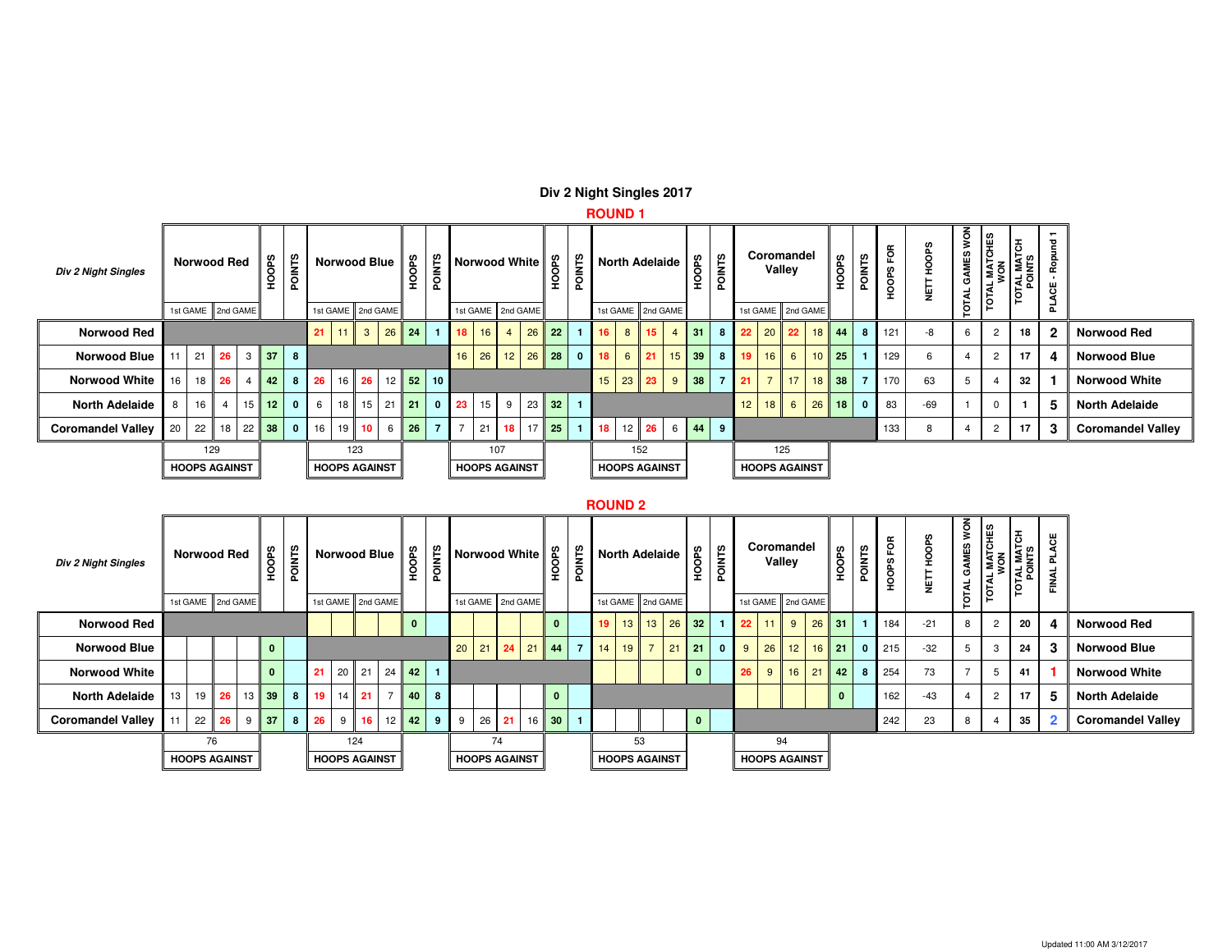# **Div 2 Night Singles 2017**

# **ROUND 1**

| <b>Div 2 Night Singles</b> | <b>Norwood Red</b><br>1st GAME 2nd GAME |                 |                      |                |                 | <b>POINTS</b>  |            | <b>Norwood Blue</b>  |                 |          | HOOPS   | <b>POINTS</b>   |                | <b>Norwood White</b> |          |       | HOOPS   | <b>POINTS</b> |    | <b>North Adelaide</b> |                  |          | $\frac{8}{5}$<br>웊 |        | <b>POINTS</b> | Coromandel           | Valley          |                |                 | HOOPS      | <b>POINTS</b>  | FОR<br><b>HOOPS</b> | <b>SaO</b><br>훞<br>쁮 | <b>NOW</b><br>MES<br>O | 씥<br>ူ<br><b>TAM.</b><br><b>TOTA</b> | $\overline{5}$<br><b>TOTAL MAT</b><br>TONLIS | $\overline{ }$<br>$\overline{\mathbf{s}}$<br>ę |                          |
|----------------------------|-----------------------------------------|-----------------|----------------------|----------------|-----------------|----------------|------------|----------------------|-----------------|----------|---------|-----------------|----------------|----------------------|----------|-------|---------|---------------|----|-----------------------|------------------|----------|--------------------|--------|---------------|----------------------|-----------------|----------------|-----------------|------------|----------------|---------------------|----------------------|------------------------|--------------------------------------|----------------------------------------------|------------------------------------------------|--------------------------|
|                            |                                         |                 |                      |                |                 |                |            | 1st GAME             |                 | 2nd GAME |         |                 |                | 1st GAME 2nd GAME    |          |       |         |               |    | 1st GAME              |                  | 2nd GAME |                    |        |               | 1st GAME   2nd GAME  |                 |                |                 |            |                |                     |                      | <b>b</b>               |                                      |                                              |                                                |                          |
| <b>Norwood Red</b>         |                                         |                 |                      |                |                 |                | 21         | 111                  | 3 <sup>1</sup>  |          | $26$ 24 |                 | 18             | $16$ 4               |          | 26 22 |         |               | 16 | 8                     | 15 <sup>15</sup> |          | $\vert$ 31         |        | 8             | 22                   |                 | 20 22          |                 | $18$ $44$  | 8 <sup>1</sup> | 121                 | -8                   | 6                      | $\overline{2}$                       | 18                                           | $\mathbf{2}$                                   | <b>Norwood Red</b>       |
| <b>Norwood Blue</b>        |                                         | $\frac{1}{21}$  | 26                   |                | $3$ 37          | 8              |            |                      |                 |          |         |                 | 16             | 26 12 26 28          |          |       |         | 0             | 18 | $6\overline{6}$       | 21               |          | $15$ 39            |        | 8             | $\blacksquare$ 19    | 16              | 6 <sup>1</sup> | 10 <sup>1</sup> | 25         |                | 129                 | b                    |                        | $\overline{2}$                       | 17                                           | 4                                              | <b>Norwood Blue</b>      |
| <b>Norwood White</b>       |                                         |                 | 16 18 26             | $\overline{4}$ | 42              |                | 8 26 16 26 |                      |                 |          | $12$ 52 | 10 <sup>1</sup> |                |                      |          |       |         |               | 15 |                       | $23 \mid 23$     | 9        | 38                 |        |               | $\blacksquare$ 21    | $\overline{7}$  |                |                 | $17$ 18 38 | $\overline{7}$ | 170                 | 63                   | 5                      | 4                                    | 32                                           |                                                | <b>Norwood White</b>     |
| <b>North Adelaide</b>      | 8                                       | 16 <sup>1</sup> | $\overline{4}$       | 15             | 12 <sup>7</sup> | $\overline{0}$ | 6          | 18                   | 15 <sup>1</sup> | 21       | l 21    | $\mathbf{0}$    | 23             | $15$   9             |          |       | $23$ 32 |               |    |                       |                  |          |                    |        |               | 12                   | 18 <sub>1</sub> | 6              | 26              | 18         | $\mathbf{0}$   | 83                  | $-69$                |                        | 0                                    |                                              | 5                                              | <b>North Adelaide</b>    |
| <b>Coromandel Valley</b>   | 20 <sup>1</sup>                         |                 | 22 18 22 38          |                |                 |                | 0 16 19 10 |                      |                 | 6        | 26      | $\overline{7}$  | $\overline{7}$ | 21                   | 18 17 25 |       |         |               | 18 |                       | $12 \quad 26$    |          |                    | 6 44 9 |               |                      |                 |                |                 |            |                | 133                 |                      |                        | 2                                    | 17                                           | -3                                             | <b>Coromandel Valley</b> |
|                            |                                         |                 | 129                  |                |                 |                |            |                      | 123             |          |         |                 |                | 107                  |          |       |         |               |    |                       | 152              |          |                    |        |               |                      | 125             |                |                 |            |                |                     |                      |                        |                                      |                                              |                                                |                          |
|                            |                                         |                 | <b>HOOPS AGAINST</b> |                |                 |                |            | <b>HOOPS AGAINST</b> |                 |          |         |                 |                | <b>HOOPS AGAINST</b> |          |       |         |               |    | <b>HOOPS AGAINST</b>  |                  |          |                    |        |               | <b>HOOPS AGAINST</b> |                 |                |                 |            |                |                     |                      |                        |                                      |                                              |                                                |                          |

#### **ROUND 2**

 $\sim$ 

| <b>Div 2 Night Singles</b> |                 | <b>Norwood Red</b>   |             | <b>SaO</b><br>훞 | <b>POINTS</b> |                 |   |         | <b>Norwood Blue</b>  | <b>GeO</b><br>오 | <b>NTS</b> |    |                      |            |              | ≧<br>훈         |                 |                      |                | <b>North Adelaide</b> | <b>HOOPS</b> | <b>POINTS</b> |    |    | Coromandel<br>Valley   | 8dO<br>훞     | ဥ<br>Nos     | ξĕ<br>ທ<br>ноон<br>Р | ő<br>오<br>쁮 | š<br>GAMES<br>₹ | Ê<br><b>L MATCH</b><br><b>TOTA</b> | $\overline{5}$<br>TOTAL MAT<br>POINTS | $\overline{O}$<br>z |                          |
|----------------------------|-----------------|----------------------|-------------|-----------------|---------------|-----------------|---|---------|----------------------|-----------------|------------|----|----------------------|------------|--------------|----------------|-----------------|----------------------|----------------|-----------------------|--------------|---------------|----|----|------------------------|--------------|--------------|----------------------|-------------|-----------------|------------------------------------|---------------------------------------|---------------------|--------------------------|
|                            |                 | 1st GAME 2nd GAME    |             |                 |               |                 |   |         | 1st GAME 2nd GAME    |                 |            |    | 1st GAME 2nd GAME    |            |              |                |                 |                      |                | 1st GAME 2nd GAME     |              |               |    |    | 1st GAME 2nd GAME      |              |              |                      |             | <u>ior</u>      |                                    |                                       |                     |                          |
| <b>Norwood Red</b>         |                 |                      |             |                 |               |                 |   |         |                      |                 |            |    |                      |            | $\mathbf{0}$ |                | 19 <sup>°</sup> |                      |                | 13 13 26 32           |              |               | 22 |    | $11 \t9 \t26 \t31 \t1$ |              |              | 184                  | $-21$       | 8               | $\overline{2}$                     | 20                                    | 4                   | <b>Norwood Red</b>       |
| <b>Norwood Blue</b>        |                 |                      |             | $\mathbf{0}$    |               |                 |   |         |                      |                 |            | 20 | $21 \quad 24$        |            |              | $\overline{7}$ | 14              | 19                   | $\overline{7}$ |                       | $21$ 21      | $\mathbf{0}$  | 9  | 26 | 12                     | $16$ 21      | $\mathbf{0}$ | 215                  | $-32$       | 5               | 3                                  | 24                                    | 3                   | <b>Norwood Blue</b>      |
| <b>Norwood White</b>       |                 |                      |             | $\mathbf{0}$    |               | 21              |   |         | 20 21 24 42 1        |                 |            |    |                      |            |              |                |                 |                      |                |                       | $\mathbf{0}$ |               | 26 | 9  |                        | $16$ 21 42   | 8            | 254                  | 73          |                 | .b                                 | 41                                    |                     | <b>Norwood White</b>     |
| <b>North Adelaide</b>      | 13 <sup>1</sup> |                      | 19 26 13 39 |                 | -8 I          | 19 <sup>1</sup> |   | $14$ 21 | $\overline{7}$       | 40              | 8          |    |                      |            | $\mathbf{0}$ |                |                 |                      |                |                       |              |               |    |    |                        | $\mathbf{0}$ |              | 162                  | $-43$       |                 | $\overline{2}$                     | 17                                    | 5                   | <b>North Adelaide</b>    |
| <b>Coromandel Valley</b>   |                 |                      | 22 26 9 37  |                 | 8             | 26              | 9 | 16      |                      | $12$ 42         | 9          | 9  | 26                   | $\vert$ 21 | $16$ 30      |                |                 |                      |                |                       | $\mathbf{0}$ |               |    |    |                        |              |              | 242                  | 23          | 8               |                                    | 35                                    |                     | <b>Coromandel Valley</b> |
|                            |                 |                      | 76          |                 |               |                 |   | 124     |                      |                 |            |    |                      | 74         |              |                |                 |                      | 53             |                       |              |               |    |    | 94                     |              |              |                      |             |                 |                                    |                                       |                     |                          |
|                            |                 | <b>HOOPS AGAINST</b> |             |                 |               |                 |   |         | <b>HOOPS AGAINST</b> |                 |            |    | <b>HOOPS AGAINST</b> |            |              |                |                 | <b>HOOPS AGAINST</b> |                |                       |              |               |    |    | <b>HOOPS AGAINST</b>   |              |              |                      |             |                 |                                    |                                       |                     |                          |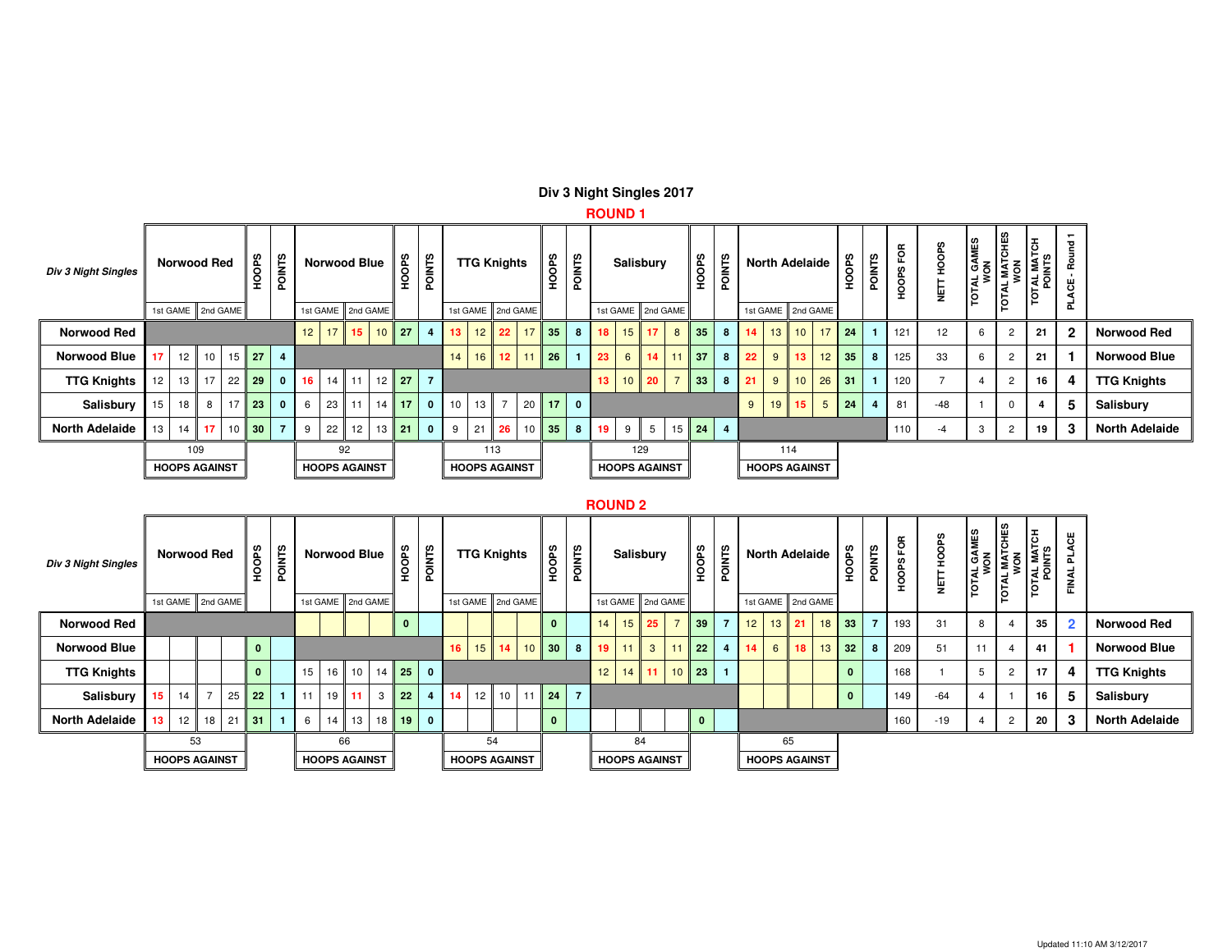|                            |                                              |                    |          |  |               |                |    |    |                     |                   |                         |                 |                      |                 |          |              |               | $\cdots$        |                 |                      |                |                 |               |    |    |                       |                 |         |               |                    |                              |                   |                |                                      |              |                       |
|----------------------------|----------------------------------------------|--------------------|----------|--|---------------|----------------|----|----|---------------------|-------------------|-------------------------|-----------------|----------------------|-----------------|----------|--------------|---------------|-----------------|-----------------|----------------------|----------------|-----------------|---------------|----|----|-----------------------|-----------------|---------|---------------|--------------------|------------------------------|-------------------|----------------|--------------------------------------|--------------|-----------------------|
| <b>Div 3 Night Singles</b> |                                              | <b>Norwood Red</b> |          |  | GaO<br>훞      | <b>POINTS</b>  |    |    | <b>Norwood Blue</b> | <b>HOOPS</b>      | <b>POINTS</b>           |                 | <b>TTG Knights</b>   |                 |          | <b>HOOPS</b> | <b>POINTS</b> |                 |                 | <b>Salisbury</b>     |                | <b>HOOPS</b>    | <b>POINTS</b> |    |    | <b>North Adelaide</b> |                 | ഗ<br>웊  | <b>POINTS</b> | g<br>ဖာ<br>й<br>Эс | HOOPS<br>$\blacksquare$<br>늏 | GAMES<br>TOTAL G. | TOTAL MATCHES  | ١Ę<br><b>EOTAL MATS</b><br>TAN JATOT | 몯<br>운<br>ଞ  |                       |
|                            |                                              | 1st GAME           | 2nd GAME |  |               |                |    |    | 1st GAME 2nd GAME   |                   |                         |                 | 1st GAME             |                 | 2nd GAME |              |               |                 |                 | 1st GAME 2nd GAME    |                |                 |               |    |    | 1st GAME 2nd GAME     |                 |         |               |                    |                              |                   |                |                                      | ᇎ            |                       |
| <b>Norwood Red</b>         |                                              |                    |          |  |               |                | 12 |    | $17$ 15             | $10$ 27           | $\overline{\mathbf{4}}$ | 13 <sup>7</sup> | 12 <sub>1</sub>      | 22              | 17       | 35           | 8             |                 |                 | $18$ 15 17           | 8              | 35 <sub>2</sub> | 8             | 14 | 13 | 10 <sup>1</sup>       |                 | $17$ 24 |               | 121                | 12                           | 6                 | $\overline{2}$ | 21                                   | $\mathbf{2}$ | <b>Norwood Red</b>    |
| <b>Norwood Blue</b>        | 17                                           |                    |          |  | $12$ 10 15 27 | $\overline{4}$ |    |    |                     |                   |                         | 14              | 16                   | 12 <sup>2</sup> | 11       | 26           |               | 23              | $6 \mid$        |                      | $14$ 11        | 37              | 8             | 22 | 9  | 13 <sup>°</sup>       |                 | $12$ 35 | 8             | 125                | 33                           | 6                 | $\overline{2}$ | 21                                   |              | <b>Norwood Blue</b>   |
| <b>TTG Knights</b>         | 12 <sub>1</sub>                              |                    | 13 17    |  | $22$ 29       | $\mathbf{0}$   | 16 |    |                     | 14 11 12 27       |                         |                 |                      |                 |          |              |               | 13 <sup>1</sup> | 10 <sup>1</sup> | 20                   | $\overline{7}$ | 33 <sup>°</sup> | 8             | 21 | 9  | 10                    |                 | $26$ 31 |               | 120                |                              |                   | $\overline{2}$ | 16                                   | 4            | <b>TTG Knights</b>    |
| Salisbury                  | 15                                           | 18                 | 8        |  | $17$ 23       | $\mathbf{0}$   | 6  |    | 23 11               | $14$ 17           | $\mathbf{0}$            | 10              | 13                   | $\overline{7}$  |          | $20$ 17      | $\mathbf{0}$  |                 |                 |                      |                |                 |               | 9  | 19 | 15 <sup>2</sup>       | $5\overline{)}$ | 24      |               | 81                 | $-48$                        |                   | $\Omega$       |                                      | 5            | Salisbury             |
| <b>North Adelaide</b>      | 13                                           |                    | $14$ 17  |  | $10$ 30       |                | 9  | 22 | 12                  | $13 \parallel 21$ | $\mathbf 0$             | 9               | 21                   | 26              | 10       | 35           | 8             | 19.             | 9               | 5                    | 15             | 24              |               |    |    |                       |                 |         |               | 110                | -4                           | 3                 | $\overline{2}$ | 19                                   | 3            | <b>North Adelaide</b> |
|                            |                                              | 109                |          |  |               |                |    |    | 92                  |                   |                         |                 |                      | 113             |          |              |               |                 |                 | 129                  |                |                 |               |    |    | 114                   |                 |         |               |                    |                              |                   |                |                                      |              |                       |
|                            | <b>HOOPS AGAINST</b><br><b>HOOPS AGAINST</b> |                    |          |  |               |                |    |    |                     |                   |                         |                 | <b>HOOPS AGAINST</b> |                 |          |              |               |                 |                 | <b>HOOPS AGAINST</b> |                |                 |               |    |    | <b>HOOPS AGAINST</b>  |                 |         |               |                    |                              |                   |                |                                      |              |                       |

# **Div 3 Night Singles 2017**

## **ROUND 1**

### **ROUND 2**

| <b>Div 3 Night Singles</b> |      | <b>Norwood Red</b>   |                |         | <b>HOOPS</b> | <b>POINTS</b> |                 |                 | <b>Norwood Blue</b>  |      | HOOPS        | <b>POINTS</b> |    | <b>TTG Knights</b>   |         |          | <b>HOOPS</b> | <b>POINTS</b>  |                 |                 | Salisbury               |                | <b>SaO</b><br>홒 | <b>POINTS</b>  |    | <b>North Adelaide</b> |              |    | <b>GPS</b><br>오 | <b>POINTS</b>  | ΕÕΕ<br><b>ROOHS</b> | <b>HOOPS</b><br><b>TIEN</b> | SEM<br><b>TOTAL GA</b><br>WON | <b>S</b><br><b>TOTAL MATO</b><br>TOTAL MATO | 쥳<br>TOTAL MAT<br>POINTS | ٣<br>ᄘ<br>FINAL |                       |
|----------------------------|------|----------------------|----------------|---------|--------------|---------------|-----------------|-----------------|----------------------|------|--------------|---------------|----|----------------------|---------|----------|--------------|----------------|-----------------|-----------------|-------------------------|----------------|-----------------|----------------|----|-----------------------|--------------|----|-----------------|----------------|---------------------|-----------------------------|-------------------------------|---------------------------------------------|--------------------------|-----------------|-----------------------|
|                            |      | 1st GAME             | 2nd GAME       |         |              |               |                 |                 | 1st GAME 2nd GAME    |      |              |               |    | 1st GAME             |         | 2nd GAME |              |                |                 |                 | 1st GAME 2nd GAME       |                |                 |                |    | 1st GAME              | 2nd GAME     |    |                 |                |                     |                             |                               |                                             |                          |                 |                       |
| <b>Norwood Red</b>         |      |                      |                |         |              |               |                 |                 |                      |      | $\mathbf{0}$ |               |    |                      |         |          | $\mathbf{0}$ |                | 14              | 15 <sup>1</sup> | 25                      | $\overline{ }$ | 39              | 7              | 12 |                       | $13 \mid 21$ |    | $18$ 33         | $\overline{7}$ | 193                 | 31                          | 8                             | 4                                           | 35                       | $\overline{2}$  | <b>Norwood Red</b>    |
| <b>Norwood Blue</b>        |      |                      |                |         | 0            |               |                 |                 |                      |      |              |               | 16 |                      | $15$ 14 |          | $10$ 30      | 8              | $19-19$         |                 | $\overline{\mathbf{3}}$ | 11             | 22              | $\overline{4}$ | 14 | $6\overline{6}$       | 18           | 13 | 32              | 8              | 209                 | 51                          | 11                            | 4                                           | 41                       |                 | <b>Norwood Blue</b>   |
| <b>TTG Knights</b>         |      |                      |                |         | $\mathbf 0$  |               | 15 <sup>1</sup> | 16 <sup>1</sup> | 10 <sup>1</sup>      | 14   | 25           |               |    |                      |         |          |              |                | 12 <sup>7</sup> |                 |                         |                | $14$ 11 10 23   |                |    |                       |              |    | $\mathbf{0}$    |                | 168                 |                             | 5                             | $\overline{2}$                              | 17                       | 4               | <b>TTG Knights</b>    |
| Salisbury                  | 15   | 14                   | $\overline{7}$ | 25      | 22           |               |                 |                 | $19$ 11              | 3    | 22           |               | 14 | 12 <sup>1</sup>      |         |          | $10$ 11 24   | $\overline{7}$ |                 |                 |                         |                |                 |                |    |                       |              |    | 0               |                | 149                 | $-64$                       |                               |                                             | 16                       | 5               | Salisbury             |
| <b>North Adelaide</b>      | 13 I | 12 <sup>2</sup>      |                | $18$ 21 | 31           |               | 6               | 14 <sup>1</sup> | 13                   | 18 I | 19           |               |    |                      |         |          | 0            |                |                 |                 |                         |                |                 |                |    |                       |              |    |                 |                | 160                 | $-19$                       |                               | $\overline{2}$                              | 20                       | 3               | <b>North Adelaide</b> |
|                            |      |                      | 53             |         |              |               |                 |                 | 66                   |      |              |               |    |                      | 54      |          |              |                |                 |                 | 84                      |                |                 |                |    |                       | 65           |    |                 |                |                     |                             |                               |                                             |                          |                 |                       |
|                            |      | <b>HOOPS AGAINST</b> |                |         |              |               |                 |                 | <b>HOOPS AGAINST</b> |      |              |               |    | <b>HOOPS AGAINST</b> |         |          |              |                |                 |                 | <b>HOOPS AGAINST</b>    |                |                 |                |    | <b>HOOPS AGAINST</b>  |              |    |                 |                |                     |                             |                               |                                             |                          |                 |                       |